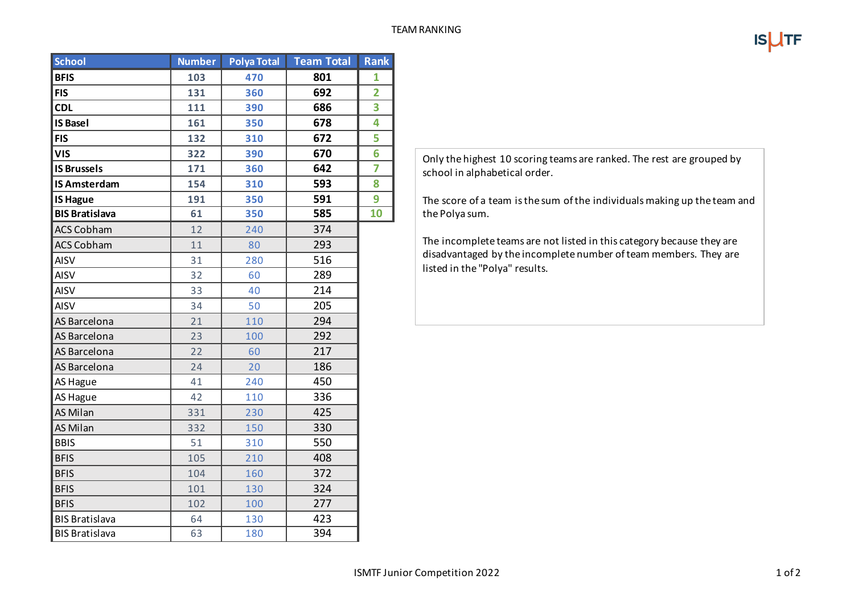| <b>School</b>         | <b>Number</b> | <b>Polya Total</b> | <b>Team Total</b> | <b>Rank</b>    |
|-----------------------|---------------|--------------------|-------------------|----------------|
| <b>BFIS</b>           | 103           | 470                | 801               | 1              |
| <b>FIS</b>            | 131           | 360                | 692               | $\overline{2}$ |
| <b>CDL</b>            | 111           | 390                | 686               | 3              |
| <b>IS Basel</b>       | 161           | 350                | 678               | 4              |
| <b>FIS</b>            | 132           | 310                | 672               | 5              |
| <b>VIS</b>            | 322           | 390                | 670               | 6              |
| <b>IS Brussels</b>    | 171           | 360                | 642               | 7              |
| <b>IS Amsterdam</b>   | 154           | 310                | 593               | 8              |
| <b>IS Hague</b>       | 191           | 350                | 591               | 9              |
| <b>BIS Bratislava</b> | 61            | 350                | 585               | 10             |
| <b>ACS Cobham</b>     | 12            | 240                | 374               |                |
| <b>ACS Cobham</b>     | 11            | 80                 | 293               |                |
| <b>AISV</b>           | 31            | 280                | 516               |                |
| <b>AISV</b>           | 32            | 60                 | 289               |                |
| <b>AISV</b>           | 33            | 40                 | 214               |                |
| <b>AISV</b>           | 34            | 50                 | 205               |                |
| AS Barcelona          | 21            | 110                | 294               |                |
| AS Barcelona          | 23            | 100                | 292               |                |
| AS Barcelona          | 22            | 60                 | 217               |                |
| AS Barcelona          | 24            | 20                 | 186               |                |
| AS Hague              | 41            | 240                | 450               |                |
| AS Hague              | 42            | 110                | 336               |                |
| <b>AS Milan</b>       | 331           | 230                | 425               |                |
| AS Milan              | 332           | 150                | 330               |                |
| <b>BBIS</b>           | 51            | 310                | 550               |                |
| <b>BFIS</b>           | 105           | 210                | 408               |                |
| <b>BFIS</b>           | 104           | 160                | 372               |                |
| <b>BFIS</b>           | 101           | 130                | 324               |                |
| <b>BFIS</b>           | 102           | 100                | 277               |                |
| <b>BIS Bratislava</b> | 64            | 130                | 423               |                |
| <b>BIS Bratislava</b> | 63            | 180                | 394               |                |

Only the highest 10 scoring teams are ranked. The rest are grouped by school in alphabetical order.

The score of a team is the sum of the individuals making up the team and the Polya sum.

The incomplete teams are not listed in this category because they are disadvantaged by the incomplete number of team members. They are listed in the "Polya" results.

**ISUTF**